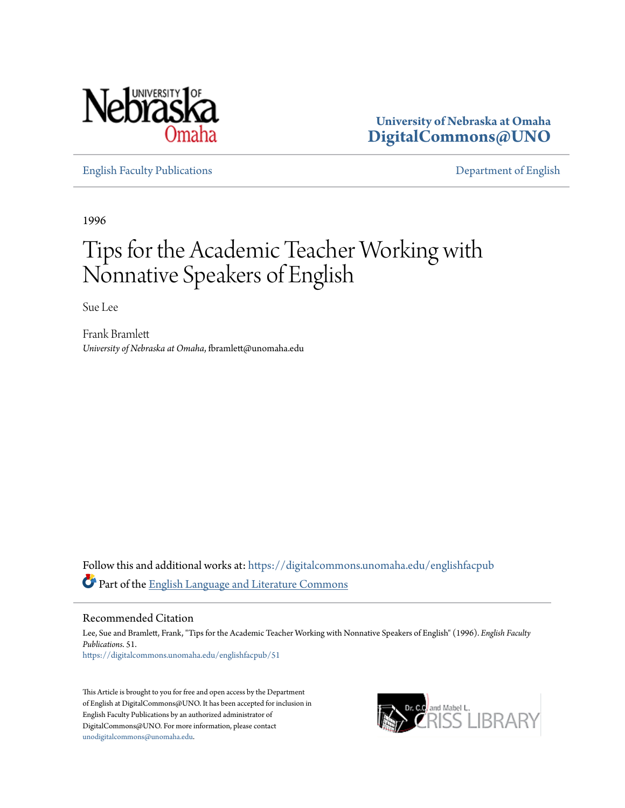

**University of Nebraska at Omaha [DigitalCommons@UNO](https://digitalcommons.unomaha.edu?utm_source=digitalcommons.unomaha.edu%2Fenglishfacpub%2F51&utm_medium=PDF&utm_campaign=PDFCoverPages)**

[English Faculty Publications](https://digitalcommons.unomaha.edu/englishfacpub?utm_source=digitalcommons.unomaha.edu%2Fenglishfacpub%2F51&utm_medium=PDF&utm_campaign=PDFCoverPages) [Department of English](https://digitalcommons.unomaha.edu/english?utm_source=digitalcommons.unomaha.edu%2Fenglishfacpub%2F51&utm_medium=PDF&utm_campaign=PDFCoverPages)

1996

# Tips for the Academic Teacher Working with Nonnative Speakers of English

Sue Lee

Frank Bramlett *University of Nebraska at Omaha*, fbramlett@unomaha.edu

Follow this and additional works at: [https://digitalcommons.unomaha.edu/englishfacpub](https://digitalcommons.unomaha.edu/englishfacpub?utm_source=digitalcommons.unomaha.edu%2Fenglishfacpub%2F51&utm_medium=PDF&utm_campaign=PDFCoverPages) Part of the [English Language and Literature Commons](http://network.bepress.com/hgg/discipline/455?utm_source=digitalcommons.unomaha.edu%2Fenglishfacpub%2F51&utm_medium=PDF&utm_campaign=PDFCoverPages)

### Recommended Citation

Lee, Sue and Bramlett, Frank, "Tips for the Academic Teacher Working with Nonnative Speakers of English" (1996). *English Faculty Publications*. 51. [https://digitalcommons.unomaha.edu/englishfacpub/51](https://digitalcommons.unomaha.edu/englishfacpub/51?utm_source=digitalcommons.unomaha.edu%2Fenglishfacpub%2F51&utm_medium=PDF&utm_campaign=PDFCoverPages)

This Article is brought to you for free and open access by the Department of English at DigitalCommons@UNO. It has been accepted for inclusion in English Faculty Publications by an authorized administrator of DigitalCommons@UNO. For more information, please contact [unodigitalcommons@unomaha.edu](mailto:unodigitalcommons@unomaha.edu).

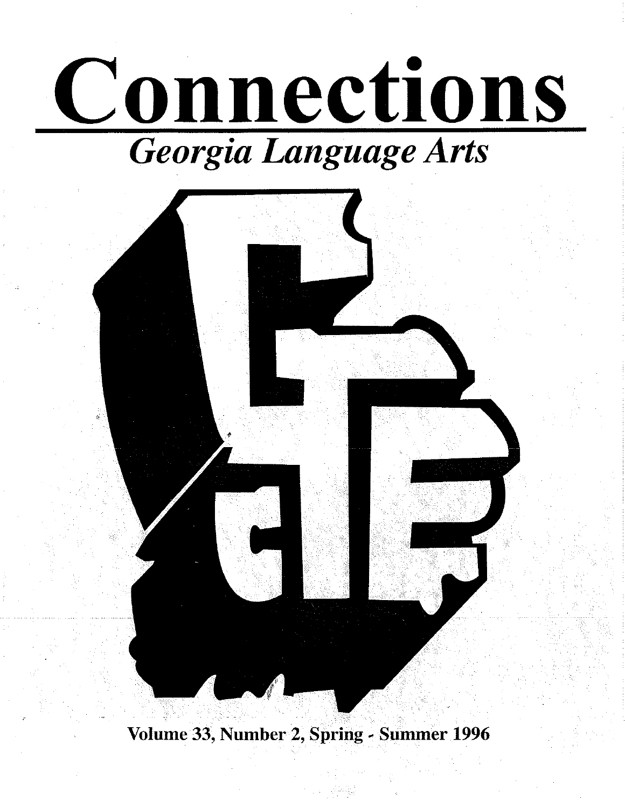



Volume 33, Number 2, Spring ~ Summer 1996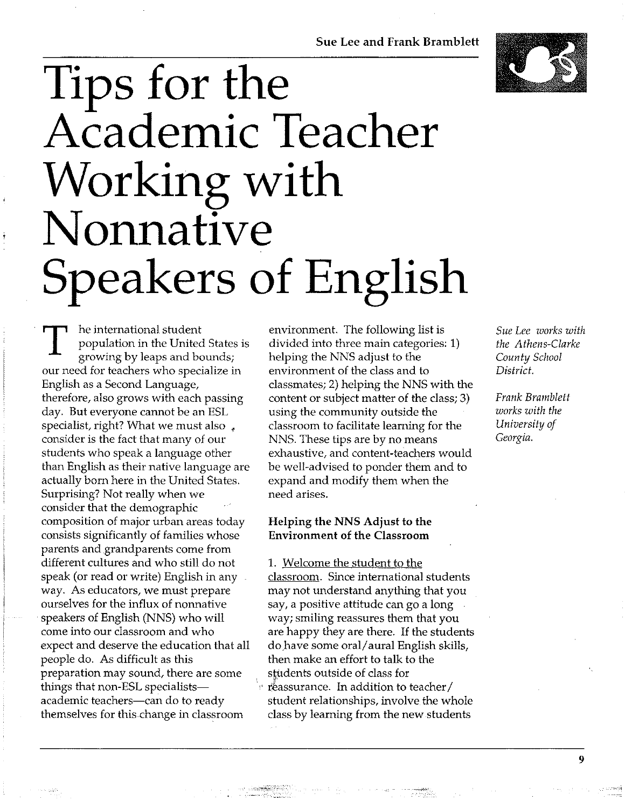## **Sue Lee and Frank Bramblett**

# **Tips for the Academic Teacher Working with Nonnative Speakers of English**

T he international student<br>population in the United<br>growing by leaps and bo population in the United States is growing by leaps and bounds; our need for teachers who specialize in English as a Second Language, therefore, also grows with each passing day. But everyone cannot be an ESL specialist, right? What we must also , consider is the fact that many of our students who speak a language other than English as their native language are actually born here in the United States. Surprising? Not really when we consider that the demographic composition of major urban areas today consists significantly of families whose parents and grandparents come from different cultures and who still do not speak (or read or write) English in any way. As educators, we must prepare ourselves for the influx of nonnative speakers of English (NNS) who will come into our classroom and who expect and deserve the education that all people do. As difficult as this preparation may sound, there are some things that non-ESL specialistsacademic teachers-can do to ready themselves for this-ehange in classroom

environment. The following list is divided into three main categories: **1)**  helping the NNS adjust to the environment of the class and to classmates; 2) helping the NNS with the content or subject matter of the class; 3) using the community outside the classroom to facilitate learning for the NNS. These tips are by no means exhaustive, and content-teachers would be well-advised to ponder them and to expand and modify them when the need arises.

# **Helping the NNS Adjust to the Environment of the Classroom**

1. Welcome the student to the classroom. Since international students may not understand anything that you say, a positive attitude can go a long way; smiling reassures them that you are happy they are there. If the students do.have some oral/ aural English skills, then make an effort to talk to the students outside of class for  $\cdot$  reassurance. In addition to teacher/ student relationships, involve the whole class by learning from the new students

*Sue Lee works with the Athens-Clarke County School District.* 

*Frank Bramblett works with the University of Georgia.* 

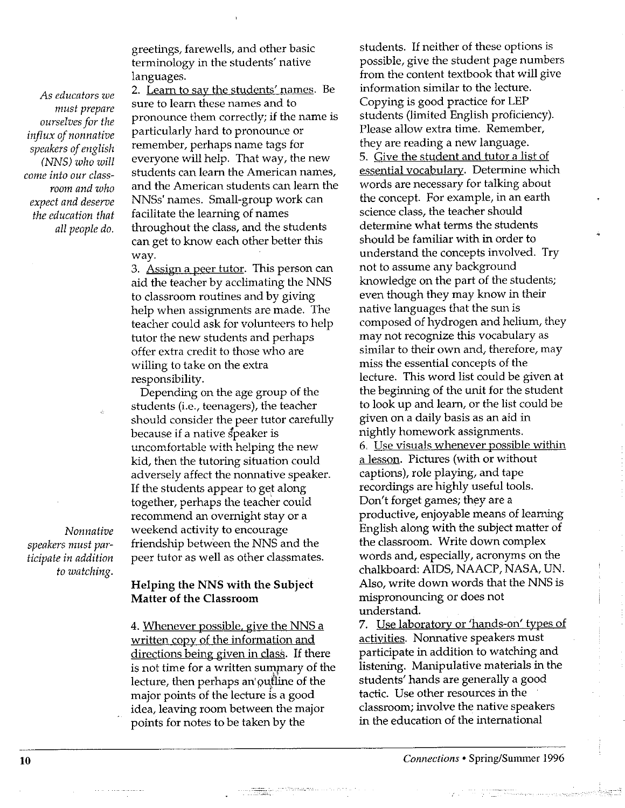*As educators we must prepare ourselves for the influx of nonnative speakers of english (NNS) who will come into our classroom and who expect and deserve the education that all people do.* 

greetings, farewells, and other basic terminology in the students' native languages.

2. Leam to say the students' names. Be sure to learn these names and to pronounce them correctly; if the name is particularly hard to pronounce or remember, perhaps name tags for everyone will help. That way, the new students can leam the American names, and the American students can leam the NNSs' names. Small-group work can facilitate the learning of names throughout the class, and the students can get to know each other better this way.

3. Assign a peer tutor. This person can aid the teacher by acclimating the NNS to classroom routines and by giving help when assignments are made. The teacher could ask for volunteers to help tutor the new students and perhaps offer extra credit to those who are willing to take on the extra responsibility.

Depending on the age group of the students (i.e., teenagers), the teacher should consider the peer tutor carefully because if a native speaker is uncomfortable with helping the new kid, then the tutoring situation could adversely affect the nonnative speaker. If the students appear to get along together, perhaps the teacher could recommend an overnight stay or a weekend activity to encourage friendship between the NNS and the peer tutor as well as other classmates.

**Helping the NNS with the Subject Matter of the Classroom** 

4. Whenever possible, give the NNS a written copy of the information and directions being given in class. If there is not time for a written summary of the lecture, then perhaps an' outline of the major points of the lecture is a good idea, leaving room between the major points for notes to be taken by the

 $\label{eq:1} \begin{array}{ll} \mathbb{E}[\mathcal{L}_{\text{max}}(x)]=\mathbb{E}[\mathcal{L}_{\text{max}}(x)]=\mathbb{E}[\mathcal{L}_{\text{max}}(x)]=\mathbb{E}[\mathcal{L}_{\text{max}}(x)]=\mathbb{E}[\mathcal{L}_{\text{max}}(x)]=\mathbb{E}[\mathcal{L}_{\text{max}}(x)]=\mathbb{E}[\mathcal{L}_{\text{max}}(x)]=\mathbb{E}[\mathcal{L}_{\text{max}}(x)]=\mathbb{E}[\mathcal{L}_{\text{max}}(x)]=\mathbb{E}[\mathcal{L}_{\text{max}}$ 

students. If neither of these options is possible, give the student page numbers from the content textbook that will give information similar to the lecture. Copying is good practice for LEP students (limited English proficiency). Please allow extra time. Remember, they are reading a new language. 5. Give the student and tutor a list of essential vocabulary. Determine which words are necessary for talking about the concept. For example, in an earth science class, the teacher should determine what terms the students should be familiar with in order to understand the concepts involved. Try not to assume any background knowledge on the part of the students; even though they may know in their native languages that the sun is composed of hydrogen and helium, they may not recognize this vocabulary as similar to their own and, therefore, may miss the essential concepts of the lecture. This word list could be given at the beginning of the unit for the student to look up and learn, or the list could be given on a daily basis as an aid in nightly homework assignments. 6. Use visuals whenever possible within a lesson. Pictures (with or without captions), role playing, and tape recordings are highly useful tools. Don't forget games; they are a productive, enjoyable means of learning English along with the subject matter of the classroom. Write down complex words and, especially, acronyms on the chalkboard: AIDS, NAACP, NASA, UN. Also, write down words that the NNS is mispronouncing or does not understand.

7. Use laboratory or 'hands-on' types of activities. Nonnative speakers must participate in addition to watching and listening. Manipulative materials in the students' hands are generally a good tactic. Use other resources in the classroom; involve the native speakers in the education of the intemational

*Nonnative speakers must participate in addition to watching.* 

The community of the community of the second contract of the community of the community of the community of the community of the community of the community of the community of the community of the community of the communit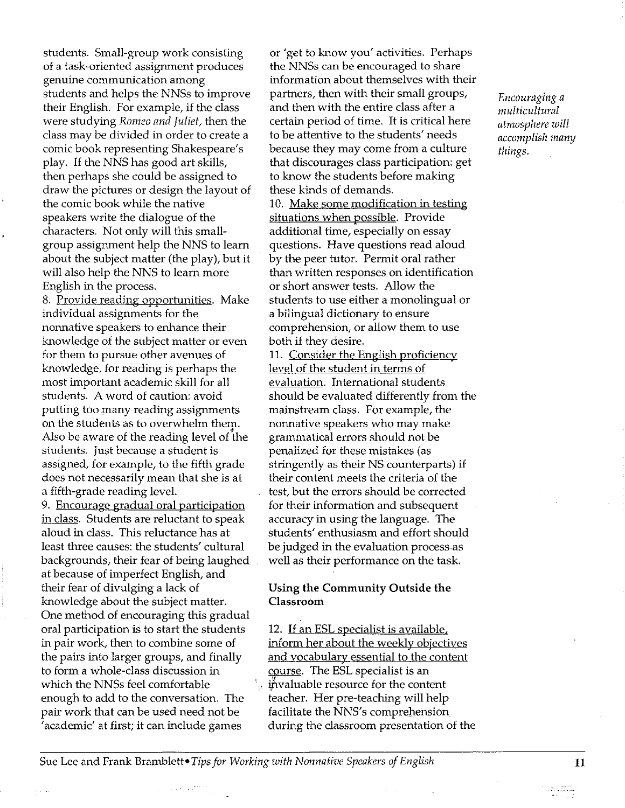students. Small-group work consisting of a task-oriented assignment produces genuine communication among students and helps the NNSs to improve their English. For example, if the class were studying *Romeo and Juliet,* then the class may be divided in order to create a comic book representing Shakespeare's play. If the NNS has good art skills, then perhaps she could be assigned to draw the pictures or design the layout of the comic book while the native speakers write the dialogue of the characters. Not only will this smallgroup assignment help the NNS to learn about the subject matter (the play), but it will also help the NNS to learn more English in the process.

8. Provide reading opportunities. Make individual assignments for the nonnative speakers to enhance their knowledge of the subject matter or even for them to pursue other avenues of knowledge, for reading is perhaps the most important academic skill for all students. A word of caution: avoid putting too many reading assignments on the students as to overwhelm them.<br>Also be aware of the reading level of the students. Just because a student is assigned, for example, to the fifth grade does not necessarily mean that she is at a fifth-grade reading level.

9. Encourage gradual oral participation in class. Students are reluctant to speak aloud in class. This reluctance has at least three causes: the students' cultural backgrounds, their fear of being laughed at because of imperfect English, and their fear of divulging a lack of knowledge about the subject matter. One method of encouraging this gradual oral participation is to start the students in pair work, then to combine some of the pairs into larger groups, and finally to form a whole-class discussion in which the NNSs feel comfortable enough to add to the conversation. The pair work that can be used need not be 'academic' at first; it can include games

or 'get to know you' activities. Perhaps the NNSs can be encouraged to share information about themselves with their partners, then with their small groups, and then with the entire class after a certain period of time. It is critical here to be attentive to the students' needs because they may come from a culture that discourages class participation: get to know the students before making these kinds of demands.

10. Make some modification in testing situations when possible. Provide additional time, especially on essay questions. Have questions read aloud by the peer tutor. Permit oral rather than written responses on identification or short answer tests. Allow the students to use either a monolingual or a bilingual dictionary to ensure comprehension, or allow them to use both if they desire.

11. Consider the English proficiency level of the student in terms of evaluation. International students should be evaluated differently from the mainstream class. For example, the nonnative speakers who may make grammatical errors should not be penalized for these mistakes ( as stringently as their NS counterparts) if their content meets the criteria of the test, but the errors should be corrected for their information and subsequent accuracy in using the language. The students' enthusiasm and effort should be judged in the evaluation process as well as their performance on the task.

# **Using the Community Outside the Classroom**

12. If an ESL specialist is available, inform her about the weekly objectives and vocabulary essential to the content course. The ESL specialist is an invaluable resource for the content teacher. Her pre-teaching will help facilitate the NNS's comprehension during the classroom presentation of the *Encouraging a multicultural atmosphere will accomplish many things.* 

Sue Lee and Frank Bramblett• *Tips for Working with Nonnative Speakers of English* 

u se partiti,